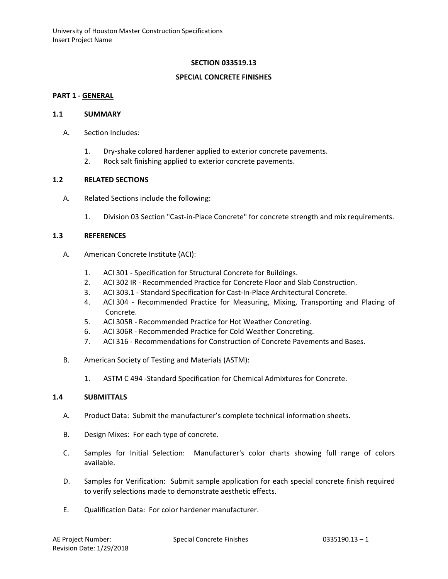## **SECTION 033519.13**

### **SPECIAL CONCRETE FINISHES**

## **PART 1 - GENERAL**

#### **1.1 SUMMARY**

- A. Section Includes:
	- 1. Dry-shake colored hardener applied to exterior concrete pavements.
	- 2. Rock salt finishing applied to exterior concrete pavements.

### **1.2 RELATED SECTIONS**

- A. Related Sections include the following:
	- 1. Division 03 Section "Cast-in-Place Concrete" for concrete strength and mix requirements.

#### **1.3 REFERENCES**

- A. American Concrete Institute (ACI):
	- 1. ACI 301 Specification for Structural Concrete for Buildings.
	- 2. ACI 302 IR Recommended Practice for Concrete Floor and Slab Construction.
	- 3. ACI 303.1 Standard Specification for Cast-In-Place Architectural Concrete.
	- 4. ACI 304 Recommended Practice for Measuring, Mixing, Transporting and Placing of Concrete.
	- 5. ACI 305R Recommended Practice for Hot Weather Concreting.
	- 6. ACI 306R Recommended Practice for Cold Weather Concreting.
	- 7. ACI 316 Recommendations for Construction of Concrete Pavements and Bases.
- B. American Society of Testing and Materials (ASTM):
	- 1. ASTM C 494 -Standard Specification for Chemical Admixtures for Concrete.

### **1.4 SUBMITTALS**

- A. Product Data: Submit the manufacturer's complete technical information sheets.
- B. Design Mixes: For each type of concrete.
- C. Samples for Initial Selection: Manufacturer's color charts showing full range of colors available.
- D. Samples for Verification: Submit sample application for each special concrete finish required to verify selections made to demonstrate aesthetic effects.
- E. Qualification Data: For color hardener manufacturer.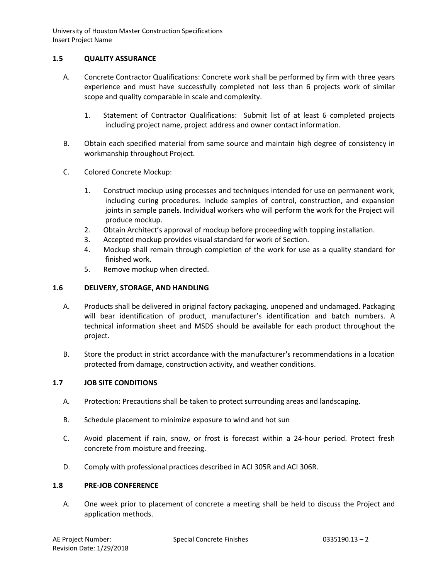# **1.5 QUALITY ASSURANCE**

- A. Concrete Contractor Qualifications: Concrete work shall be performed by firm with three years experience and must have successfully completed not less than 6 projects work of similar scope and quality comparable in scale and complexity.
	- 1. Statement of Contractor Qualifications: Submit list of at least 6 completed projects including project name, project address and owner contact information.
- B. Obtain each specified material from same source and maintain high degree of consistency in workmanship throughout Project.
- C. Colored Concrete Mockup:
	- 1. Construct mockup using processes and techniques intended for use on permanent work, including curing procedures. Include samples of control, construction, and expansion joints in sample panels. Individual workers who will perform the work for the Project will produce mockup.
	- 2. Obtain Architect's approval of mockup before proceeding with topping installation.
	- 3. Accepted mockup provides visual standard for work of Section.
	- 4. Mockup shall remain through completion of the work for use as a quality standard for finished work.
	- 5. Remove mockup when directed.

# **1.6 DELIVERY, STORAGE, AND HANDLING**

- A. Products shall be delivered in original factory packaging, unopened and undamaged. Packaging will bear identification of product, manufacturer's identification and batch numbers. A technical information sheet and MSDS should be available for each product throughout the project.
- B. Store the product in strict accordance with the manufacturer's recommendations in a location protected from damage, construction activity, and weather conditions.

# **1.7 JOB SITE CONDITIONS**

- A. Protection: Precautions shall be taken to protect surrounding areas and landscaping.
- B. Schedule placement to minimize exposure to wind and hot sun
- C. Avoid placement if rain, snow, or frost is forecast within a 24-hour period. Protect fresh concrete from moisture and freezing.
- D. Comply with professional practices described in ACI 305R and ACI 306R.

# **1.8 PRE-JOB CONFERENCE**

A. One week prior to placement of concrete a meeting shall be held to discuss the Project and application methods.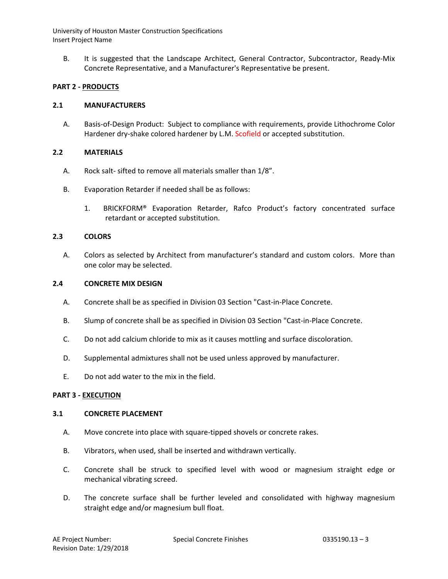B. It is suggested that the Landscape Architect, General Contractor, Subcontractor, Ready-Mix Concrete Representative, and a Manufacturer's Representative be present.

# **PART 2 - PRODUCTS**

## **2.1 MANUFACTURERS**

A. Basis-of-Design Product: Subject to compliance with requirements, provide Lithochrome Color Hardener dry-shake colored hardener by L.M. Scofield or accepted substitution.

# **2.2 MATERIALS**

- A. Rock salt- sifted to remove all materials smaller than 1/8".
- B. Evaporation Retarder if needed shall be as follows:
	- 1. BRICKFORM® Evaporation Retarder, Rafco Product's factory concentrated surface retardant or accepted substitution.

## **2.3 COLORS**

A. Colors as selected by Architect from manufacturer's standard and custom colors. More than one color may be selected.

### **2.4 CONCRETE MIX DESIGN**

- A. Concrete shall be as specified in Division 03 Section "Cast-in-Place Concrete.
- B. Slump of concrete shall be as specified in Division 03 Section "Cast-in-Place Concrete.
- C. Do not add calcium chloride to mix as it causes mottling and surface discoloration.
- D. Supplemental admixtures shall not be used unless approved by manufacturer.
- E. Do not add water to the mix in the field.

### **PART 3 - EXECUTION**

### **3.1 CONCRETE PLACEMENT**

- A. Move concrete into place with square-tipped shovels or concrete rakes.
- B. Vibrators, when used, shall be inserted and withdrawn vertically.
- C. Concrete shall be struck to specified level with wood or magnesium straight edge or mechanical vibrating screed.
- D. The concrete surface shall be further leveled and consolidated with highway magnesium straight edge and/or magnesium bull float.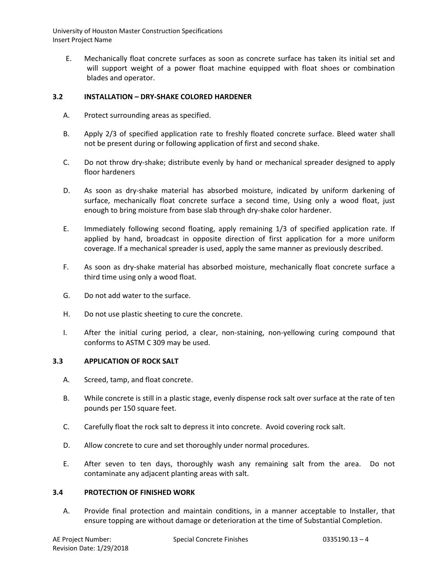E. Mechanically float concrete surfaces as soon as concrete surface has taken its initial set and will support weight of a power float machine equipped with float shoes or combination blades and operator.

# **3.2 INSTALLATION – DRY-SHAKE COLORED HARDENER**

- A. Protect surrounding areas as specified.
- B. Apply 2/3 of specified application rate to freshly floated concrete surface. Bleed water shall not be present during or following application of first and second shake.
- C. Do not throw dry-shake; distribute evenly by hand or mechanical spreader designed to apply floor hardeners
- D. As soon as dry-shake material has absorbed moisture, indicated by uniform darkening of surface, mechanically float concrete surface a second time, Using only a wood float, just enough to bring moisture from base slab through dry-shake color hardener.
- E. Immediately following second floating, apply remaining 1/3 of specified application rate. If applied by hand, broadcast in opposite direction of first application for a more uniform coverage. If a mechanical spreader is used, apply the same manner as previously described.
- F. As soon as dry-shake material has absorbed moisture, mechanically float concrete surface a third time using only a wood float.
- G. Do not add water to the surface.
- H. Do not use plastic sheeting to cure the concrete.
- I. After the initial curing period, a clear, non-staining, non-yellowing curing compound that conforms to ASTM C 309 may be used.

# **3.3 APPLICATION OF ROCK SALT**

- A. Screed, tamp, and float concrete.
- B. While concrete is still in a plastic stage, evenly dispense rock salt over surface at the rate of ten pounds per 150 square feet.
- C. Carefully float the rock salt to depress it into concrete. Avoid covering rock salt.
- D. Allow concrete to cure and set thoroughly under normal procedures.
- E. After seven to ten days, thoroughly wash any remaining salt from the area. Do not contaminate any adjacent planting areas with salt.

# **3.4 PROTECTION OF FINISHED WORK**

A. Provide final protection and maintain conditions, in a manner acceptable to Installer, that ensure topping are without damage or deterioration at the time of Substantial Completion.